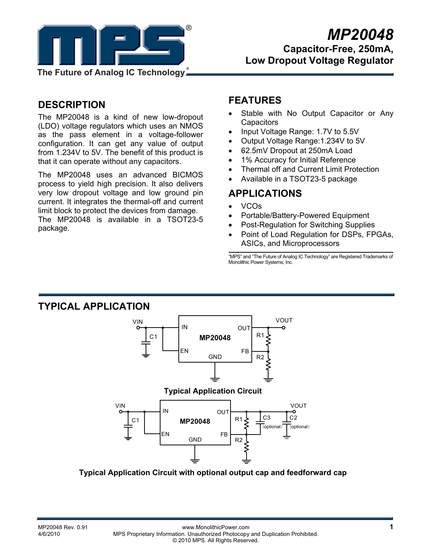

**DESCRIPTION** 

The MP20048 is a kind of new low-dropout (LDO) voltage regulators which uses an NMOS as the pass element in a voltage-follower configuration. It can get any value of output from 1.234V to 5V. The benefit of this product is that it can operate without any capacitors.

The MP20048 uses an advanced BICMOS process to yield high precision. It also delivers very low dropout voltage and low ground pin current. It integrates the thermal-off and current limit block to protect the devices from damage. The MP20048 is available in a TSOT23-5 package.

## **FEATURES**

- Stable with No Output Capacitor or Any **Capacitors**
- Input Voltage Range: 1.7V to 5.5V
- Output Voltage Range:1.234V to 5V
- 62.5mV Dropout at 250mA Load
- 1% Accuracy for Initial Reference
- Thermal off and Current Limit Protection
- Available in a TSOT23-5 package

## **APPLICATIONS**

- VCOs
- Portable/Battery-Powered Equipment
- Post-Regulation for Switching Supplies
- Point of Load Regulation for DSPs, FPGAs, ASICs, and Microprocessors

"MPS" and "The Future of Analog IC Technology" are Registered Trademarks of Monolithic Power Systems, Inc.

### **TYPICAL APPLICATION**



**Typical Application Circuit with optional output cap and feedforward cap**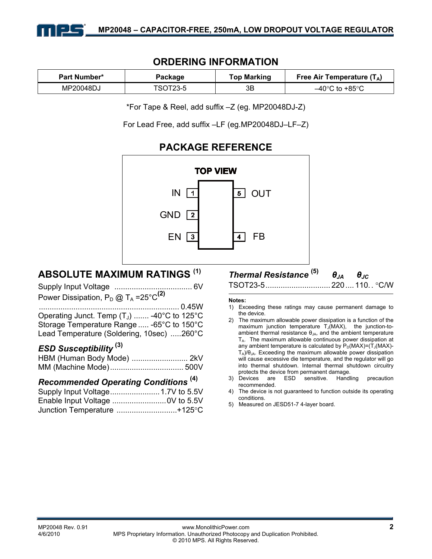

## **ORDERING INFORMATION**

| <b>Part Number*</b> | Package  | <b>Top Marking</b> | Free Air Temperature $(T_A)$        |  |
|---------------------|----------|--------------------|-------------------------------------|--|
| MP20048DJ           | TSOT23-5 | 3B                 | $-40^{\circ}$ C to +85 $^{\circ}$ C |  |

\*For Tape & Reel, add suffix –Z (eg. MP20048DJ-Z)

For Lead Free, add suffix –LF (eg.MP20048DJ–LF–Z)

### **PACKAGE REFERENCE TOP VIEW** IN 1 5 | OUT GND  $\sqrt{2}$  $\overline{4}$ FB EN  $\vert$  3

## **ABSOLUTE MAXIMUM RATINGS (1)**

| Power Dissipation, $P_D @ T_A = 25°C^{(2)}$ |  |
|---------------------------------------------|--|

................................................................. 0.45W Operating Junct. Temp  $(T_1)$  ....... -40°C to 125°C Storage Temperature Range ..... -65°C to 150°C Lead Temperature (Soldering, 10sec) .....260°C

### *ESD Susceptibility* **(3)**

### *Recommended Operating Conditions* **(4)**

| Junction Temperature +125°C |  |
|-----------------------------|--|

# *Thermal Resistance* **(5)** *θJA θJC*

TSOT23-5.............................. 220.... 110.. °C/W

#### **Notes:**

- 1) Exceeding these ratings may cause permanent damage to the device.
- 2) The maximum allowable power dissipation is a function of the maximum junction temperature  $T_J(MAX)$ , the junction-toambient thermal resistance  $\theta_{JA}$ , and the ambient temperature TA. The maximum allowable continuous power dissipation at any ambient temperature is calculated by  $P_D(MAX)=(T_J(MAX)-T_J(MAX)-T_J(MAX))$  $T_A$ )/ $\theta_{JA}$ . Exceeding the maximum allowable power dissipation will cause excessive die temperature, and the regulator will go into thermal shutdown. Internal thermal shutdown circuitry protects the device from permanent damage.
- 3) Devices are ESD sensitive. Handling precaution recommended.
- The device is not guaranteed to function outside its operating conditions.
- 5) Measured on JESD51-7 4-layer board.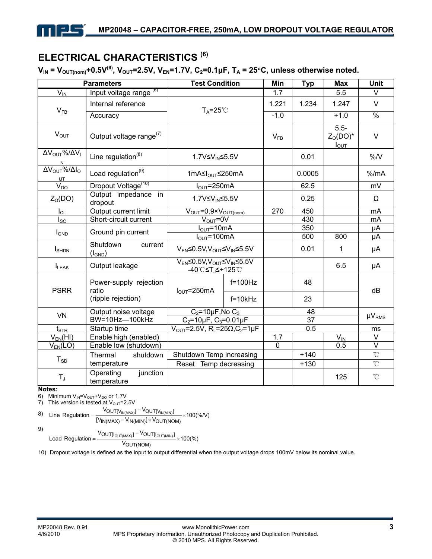# **ELECTRICAL CHARACTERISTICS (6)**

 $V_{IN} = V_{OUT(nom)} + 0.5V^{(6)}$ ,  $V_{OUT} = 2.5V$ ,  $V_{EN} = 1.7V$ ,  $C_2 = 0.1 \mu F$ ,  $T_A = 25°C$ , unless otherwise noted.

| <b>Parameters</b>                                    |                                      | <b>Test Condition</b>                                                             |                             | Min              | <b>Typ</b> | <b>Max</b>                        | <b>Unit</b>       |
|------------------------------------------------------|--------------------------------------|-----------------------------------------------------------------------------------|-----------------------------|------------------|------------|-----------------------------------|-------------------|
| $V_{IN}$                                             | Input voltage range <sup>(6)</sup>   |                                                                                   |                             | 1.7              |            | 5.5                               | $\vee$            |
| Internal reference<br>$V_{FB}$                       |                                      | $T_A = 25^{\circ}$                                                                |                             | 1.221            | 1.234      | 1.247                             | $\vee$            |
|                                                      | Accuracy                             |                                                                                   |                             | $-1.0$           |            | $+1.0$                            | $\frac{8}{6}$     |
| $V_{OUT}$                                            | Output voltage range <sup>(7)</sup>  |                                                                                   |                             | $V_{FB}$         |            | $5.5 -$<br>$ZO(DO)*$<br>$I_{OUT}$ | $\vee$            |
| $\Delta V_{\text{OUT}}\% / \Delta V_{\text{I}}$<br>N | Line regulation <sup>(8)</sup>       | 1.7V≤V <sub>IN</sub> ≤5.5V                                                        |                             |                  | 0.01       |                                   | $\%N$             |
| $\Delta V_{OUT}$ %/ $\Delta I_{O}$<br>UT             | Load regulation <sup>(9)</sup>       | 1mA≤I <sub>OUT</sub> ≤250mA                                                       |                             |                  | 0.0005     |                                   | % /mA             |
| $V_{DO}$                                             | Dropout Voltage <sup>(10)</sup>      | $I_{\text{OUT}}$ =250mA                                                           |                             |                  | 62.5       |                                   | mV                |
| Z <sub>0</sub> (DO)                                  | Output impedance<br>in<br>dropout    | 1.7V≤V <sub>IN</sub> ≤5.5V                                                        |                             |                  | 0.25       |                                   | Ω                 |
| $I_{CL}$                                             | Output current limit                 | $V_{OUT} = 0.9 \times V_{OUT(nom)}$                                               |                             | $\overline{270}$ | 450        |                                   | mA                |
| $I_{\rm SC}$                                         | Short-circuit current                | $V_{\text{OUT}} = 0V$                                                             |                             |                  | 430        |                                   | mA                |
| <b>I</b> GND                                         | Ground pin current                   | $I_{\text{OUT}}$ =10mA                                                            |                             |                  | 350        |                                   | μA                |
|                                                      |                                      | $I_{\text{OUT}}$ =100mA                                                           |                             |                  | 500        | 800                               | μA                |
| $I_{\text{SHDN}}$                                    | Shutdown<br>current<br>$(I_{GND})$   | $V_{EN}$ <0.5V, $V_{OUT}$ < $V_{IN}$ <5.5V                                        |                             |                  | 0.01       | 1                                 | μA                |
| $I_{LEAK}$                                           | Output leakage                       | $V_{EN} \leq 0.5 V, V_{OUT} \leq V_{IN} \leq 5.5 V$<br>-40℃≤T <sub>J</sub> ≤+125℃ |                             |                  |            | 6.5                               | μA                |
| <b>PSRR</b>                                          | Power-supply rejection<br>ratio      | $I_{\text{OUT}}$ =250mA                                                           | $f=100Hz$                   |                  | 48         |                                   | dB                |
|                                                      | (ripple rejection)                   |                                                                                   | $f=10kHz$                   |                  | 23         |                                   |                   |
| <b>VN</b>                                            | Output noise voltage                 |                                                                                   | $C_2 = 10 \mu F$ , No $C_3$ |                  | 48         |                                   | $\mu V_{RMS}$     |
|                                                      | BW=10Hz-100kHz                       | $C_2 = 10 \mu F$ , $C_3 = 0.01 \mu F$                                             |                             | 37               |            |                                   |                   |
| $t_{\footnotesize\rm STR}$                           | Startup time                         | $V_{OUT} = 2.5V$ , R <sub>L</sub> =25 $\Omega$ , C <sub>2</sub> =1µF              |                             | 0.5              |            |                                   | ms                |
| $V_{EN}(HI)$                                         | Enable high (enabled)                |                                                                                   |                             | 1.7              |            | $V_{\text{IN}}$                   | $\vee$            |
| $V_{EN}(LO)$                                         | Enable low (shutdown)                |                                                                                   |                             | $\mathbf 0$      |            | 0.5                               | $\overline{\vee}$ |
| $T_{SD}$                                             | Thermal<br>shutdown                  | Shutdown Temp increasing                                                          |                             |                  | $+140$     |                                   | $\rm ^{\circ}C$   |
|                                                      | temperature                          | Reset Temp decreasing                                                             |                             |                  | $+130$     |                                   | $\overline{C}$    |
| $T_{J}$                                              | junction<br>Operating<br>temperature |                                                                                   |                             |                  |            | 125                               | $\rm ^{\circ}C$   |

**Notes:** 

6) Minimum  $V_{IN} = V_{OUT} + V_{DO}$  or 1.7V

7) This version is tested at  $V_{\text{OUT}}=2.5V$ 

8) Line Regulation = 
$$
\frac{V_{OUT[V_{IN(MAX)}]} - V_{OUT[V_{IN(MIN)}]} }{[V_{IN(MAX)} - V_{IN(MIN)}] \times V_{OUT(NOM)}} \times 100\%
$$

9)

 $\frac{1}{\sqrt{N}}$  valid  $\frac{1}{\sqrt{N}}$  valid  $\frac{1}{\sqrt{N}}$  valid  $\frac{1}{\sqrt{N}}$  valid  $\frac{1}{\sqrt{N}}$  valid  $\frac{1}{\sqrt{N}}$  valid  $\frac{1}{\sqrt{N}}$  valid  $\frac{1}{\sqrt{N}}$  valid  $\frac{1}{\sqrt{N}}$  valid  $\frac{1}{\sqrt{N}}$  valid  $\frac{1}{\sqrt{N}}$  valid  $\frac{1}{\sqrt{N}}$  $\frac{V_{\text{OUT[I_{OUT(MAX)}]} - V_{\text{OUT[I_{OUT(MIN)}]}}}{V_{\text{OUT(MIN)}}}}$ Load Regulation = VOUT(NOM) −

10) Dropout voltage is defined as the input to output differential when the output voltage drops 100mV below its nominal value.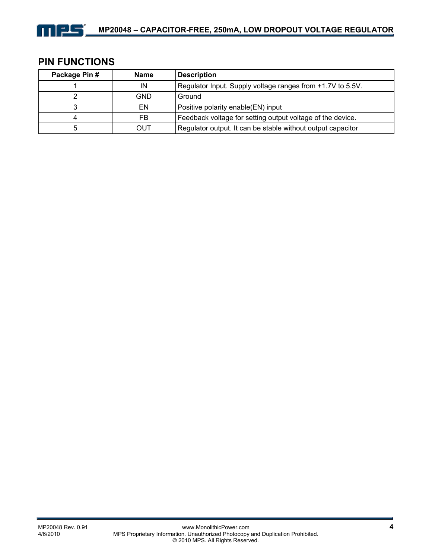

## **PIN FUNCTIONS**

| Package Pin # | <b>Name</b> | <b>Description</b>                                          |
|---------------|-------------|-------------------------------------------------------------|
|               | ΙN          | Regulator Input. Supply voltage ranges from +1.7V to 5.5V.  |
|               | GND         | Ground                                                      |
|               | EN          | Positive polarity enable(EN) input                          |
| 4             | FB          | Feedback voltage for setting output voltage of the device.  |
| 5             | OUT         | Regulator output. It can be stable without output capacitor |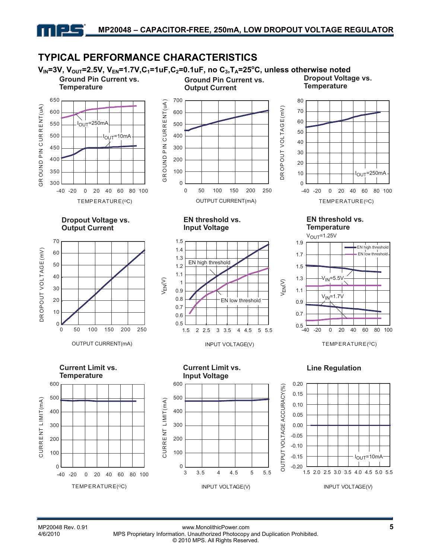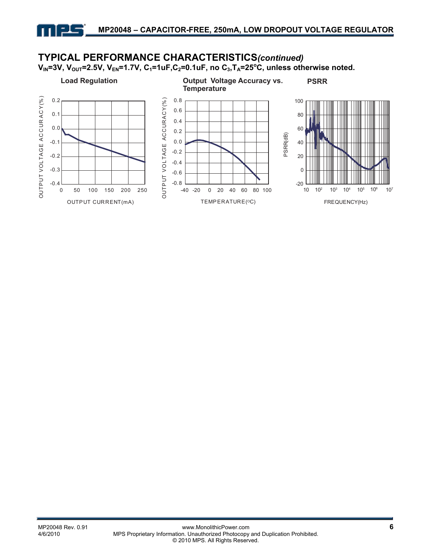## **TYPICAL PERFORMANCE CHARACTERISTICS***(continued)*

V<sub>IN</sub>=3V, V<sub>OUT</sub>=2.5V, V<sub>EN</sub>=1.7V, C<sub>1</sub>=1uF,C<sub>2</sub>=0.1uF, no C<sub>3</sub>,T<sub>A</sub>=25°C, unless otherwise noted.

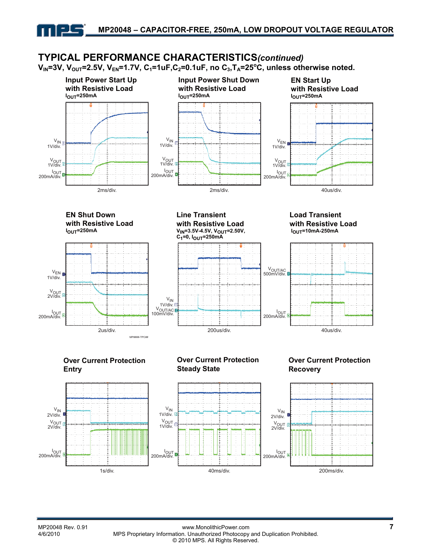## **TYPICAL PERFORMANCE CHARACTERISTICS***(continued)*

V<sub>IN</sub>=3V, V<sub>OUT</sub>=2.5V, V<sub>EN</sub>=1.7V, C<sub>1</sub>=1uF,C<sub>2</sub>=0.1uF, no C<sub>3</sub>,T<sub>A</sub>=25°C, unless otherwise noted.

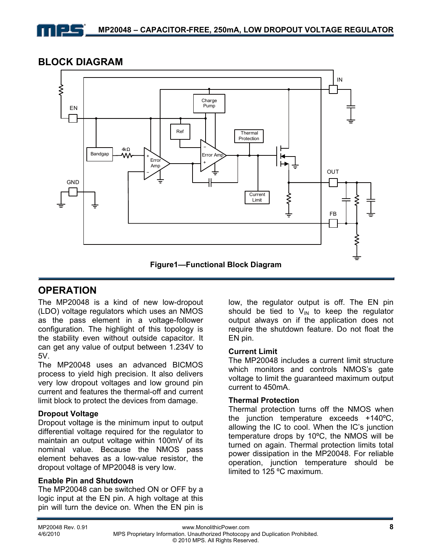## **BLOCK DIAGRAM**



## **OPERATION**

The MP20048 is a kind of new low-dropout (LDO) voltage regulators which uses an NMOS as the pass element in a voltage-follower configuration. The highlight of this topology is the stability even without outside capacitor. It can get any value of output between 1.234V to 5V.

The MP20048 uses an advanced BICMOS process to yield high precision. It also delivers very low dropout voltages and low ground pin current and features the thermal-off and current limit block to protect the devices from damage.

### **Dropout Voltage**

Dropout voltage is the minimum input to output differential voltage required for the regulator to maintain an output voltage within 100mV of its nominal value. Because the NMOS pass element behaves as a low-value resistor, the dropout voltage of MP20048 is very low.

### **Enable Pin and Shutdown**

The MP20048 can be switched ON or OFF by a logic input at the EN pin. A high voltage at this pin will turn the device on. When the EN pin is

low, the regulator output is off. The EN pin should be tied to  $V_{\text{IN}}$  to keep the regulator output always on if the application does not require the shutdown feature. Do not float the EN pin.

### **Current Limit**

The MP20048 includes a current limit structure which monitors and controls NMOS's gate voltage to limit the guaranteed maximum output current to 450mA.

### **Thermal Protection**

Thermal protection turns off the NMOS when the junction temperature exceeds +140ºC, allowing the IC to cool. When the IC's junction temperature drops by 10ºC, the NMOS will be turned on again. Thermal protection limits total power dissipation in the MP20048. For reliable operation, junction temperature should be limited to 125 ºC maximum.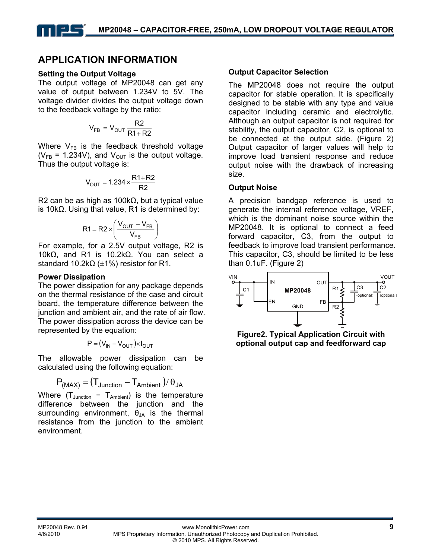## **APPLICATION INFORMATION**

### **Setting the Output Voltage**

The output voltage of MP20048 can get any value of output between 1.234V to 5V. The voltage divider divides the output voltage down to the feedback voltage by the ratio:

$$
V_{FB} = V_{OUT} \frac{R2}{R1 + R2}
$$

Where  $V_{FB}$  is the feedback threshold voltage ( $V_{FB}$  = 1.234V), and  $V_{OUT}$  is the output voltage. Thus the output voltage is:

$$
V_{OUT}=1.234\times\frac{R1+R2}{R2}
$$

R2 can be as high as 100kΩ, but a typical value is 10kΩ. Using that value, R1 is determined by:

$$
R1 = R2 \times \left(\frac{V_{OUT} - V_{FB}}{V_{FB}}\right)
$$

For example, for a 2.5V output voltage, R2 is 10kΩ, and R1 is 10.2kΩ. You can select a standard 10.2kΩ (±1%) resistor for R1.

### **Power Dissipation**

The power dissipation for any package depends on the thermal resistance of the case and circuit board, the temperature difference between the junction and ambient air, and the rate of air flow. The power dissipation across the device can be represented by the equation:

$$
\mathbf{P} = (V_{IN} - V_{OUT}) \times I_{OUT}
$$

The allowable power dissipation can be calculated using the following equation:

$$
P_{(MAX)} = (T_{Junction} - T_{Ambient}) / \theta_{JA}
$$

Where  $(T_{\text{Junction}} - T_{\text{Ambient}})$  is the temperature difference between the junction and the surrounding environment,  $\theta_{JA}$  is the thermal resistance from the junction to the ambient environment.

### **Output Capacitor Selection**

The MP20048 does not require the output capacitor for stable operation. It is specifically designed to be stable with any type and value capacitor including ceramic and electrolytic. Although an output capacitor is not required for stability, the output capacitor, C2, is optional to be connected at the output side. (Figure 2) Output capacitor of larger values will help to improve load transient response and reduce output noise with the drawback of increasing size.

#### **Output Noise**

A precision bandgap reference is used to generate the internal reference voltage, VREF, which is the dominant noise source within the MP20048. It is optional to connect a feed forward capacitor, C3, from the output to feedback to improve load transient performance. This capacitor, C3, should be limited to be less than 0.1uF. (Figure 2)



**Figure2. Typical Application Circuit with optional output cap and feedforward cap**